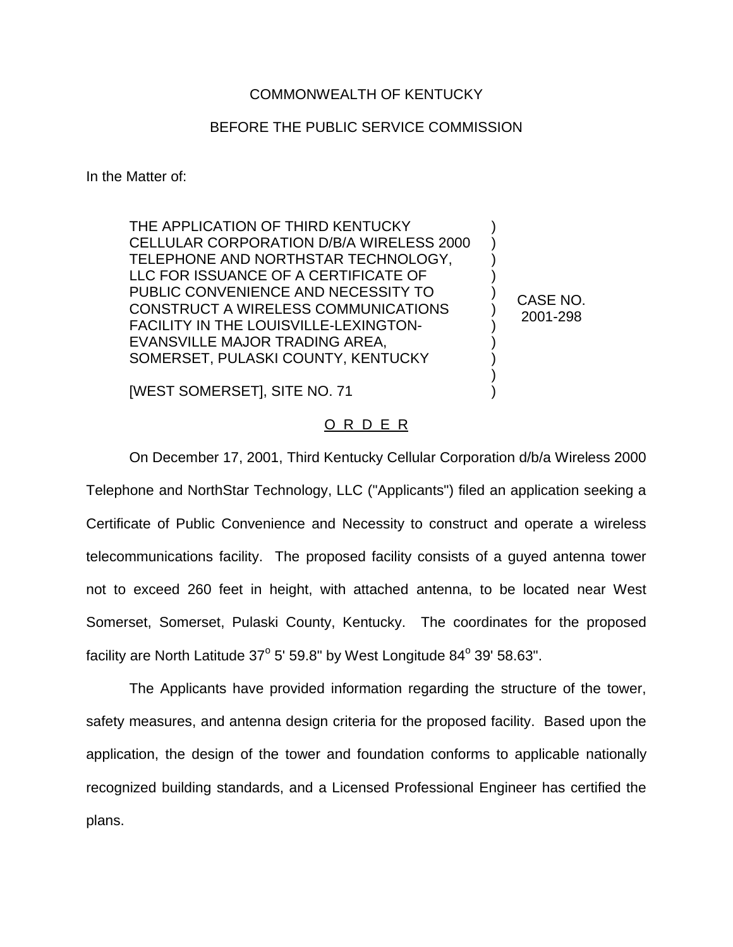## COMMONWEALTH OF KENTUCKY

## BEFORE THE PUBLIC SERVICE COMMISSION

) ) ) ) ) ) ) ) ) ) )

CASE NO. 2001-298

In the Matter of:

THE APPLICATION OF THIRD KENTUCKY CELLULAR CORPORATION D/B/A WIRELESS 2000 TELEPHONE AND NORTHSTAR TECHNOLOGY, LLC FOR ISSUANCE OF A CERTIFICATE OF PUBLIC CONVENIENCE AND NECESSITY TO CONSTRUCT A WIRELESS COMMUNICATIONS FACILITY IN THE LOUISVILLE-LEXINGTON-EVANSVILLE MAJOR TRADING AREA, SOMERSET, PULASKI COUNTY, KENTUCKY

[WEST SOMERSET], SITE NO. 71

## O R D E R

On December 17, 2001, Third Kentucky Cellular Corporation d/b/a Wireless 2000 Telephone and NorthStar Technology, LLC ("Applicants") filed an application seeking a Certificate of Public Convenience and Necessity to construct and operate a wireless telecommunications facility. The proposed facility consists of a guyed antenna tower not to exceed 260 feet in height, with attached antenna, to be located near West Somerset, Somerset, Pulaski County, Kentucky. The coordinates for the proposed facility are North Latitude  $37^{\circ}$  5' 59.8" by West Longitude  $84^{\circ}$  39' 58.63".

The Applicants have provided information regarding the structure of the tower, safety measures, and antenna design criteria for the proposed facility. Based upon the application, the design of the tower and foundation conforms to applicable nationally recognized building standards, and a Licensed Professional Engineer has certified the plans.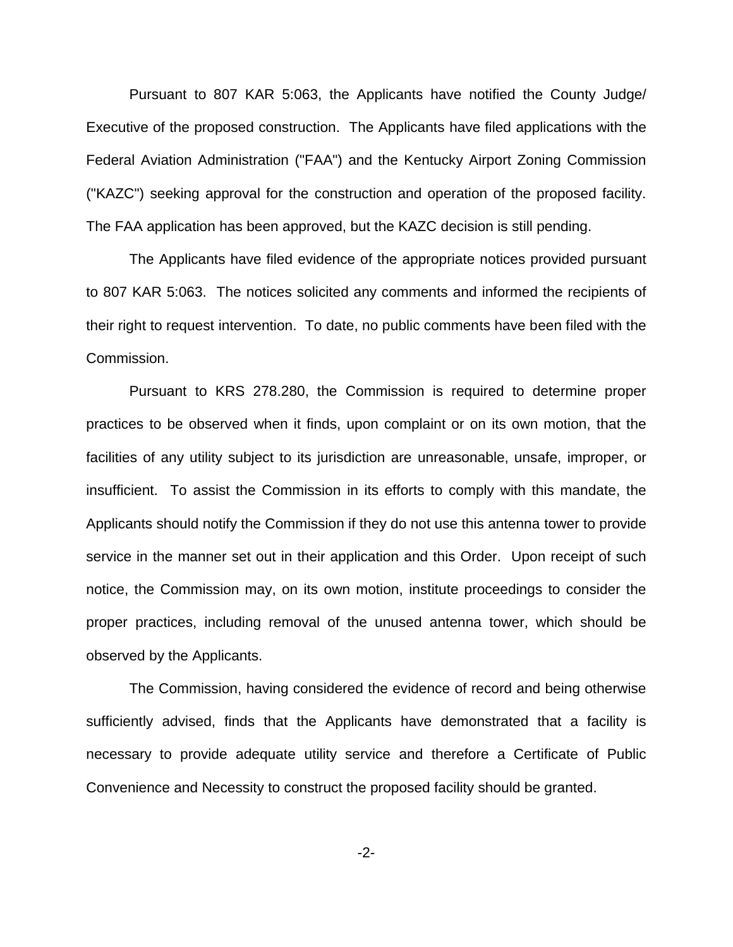Pursuant to 807 KAR 5:063, the Applicants have notified the County Judge/ Executive of the proposed construction. The Applicants have filed applications with the Federal Aviation Administration ("FAA") and the Kentucky Airport Zoning Commission ("KAZC") seeking approval for the construction and operation of the proposed facility. The FAA application has been approved, but the KAZC decision is still pending.

The Applicants have filed evidence of the appropriate notices provided pursuant to 807 KAR 5:063. The notices solicited any comments and informed the recipients of their right to request intervention. To date, no public comments have been filed with the Commission.

Pursuant to KRS 278.280, the Commission is required to determine proper practices to be observed when it finds, upon complaint or on its own motion, that the facilities of any utility subject to its jurisdiction are unreasonable, unsafe, improper, or insufficient. To assist the Commission in its efforts to comply with this mandate, the Applicants should notify the Commission if they do not use this antenna tower to provide service in the manner set out in their application and this Order. Upon receipt of such notice, the Commission may, on its own motion, institute proceedings to consider the proper practices, including removal of the unused antenna tower, which should be observed by the Applicants.

The Commission, having considered the evidence of record and being otherwise sufficiently advised, finds that the Applicants have demonstrated that a facility is necessary to provide adequate utility service and therefore a Certificate of Public Convenience and Necessity to construct the proposed facility should be granted.

-2-